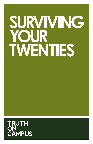## **SURVIVING YOUR TWENTIES**

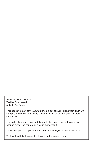*Surviving Your Twenties* Text by Brian Weed © Truth On Campus

This booklet is part of the *Living* Series, a set of publications from Truth On Campus which aim to cultivate Christian living on college and university campuses.

Please freely share, copy, and distribute this document, but please don't change any of the content or charge money for it.

To request printed copies for your use, email talk@truthoncampus.com

To download this document visit www.truthoncampus.com.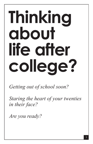# **Thinking about life after college?**

*Getting out of school soon?*

*Staring the heart of your twenties in their face?*

*Are you ready?*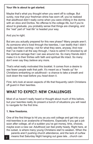#### **Your life is about to get started.**

Maybe that's what you thought when you went off to college. But surely, now that your freshman shine has worn off, you've realized that adulthood didn't really come when you were chilling in the dorms with an xbox and Doritos. No offense to the college life, but if you're about to graduate, you probably sense that things are changing, and the "real" part of "real life" is headed your way.

And you're right.

But are you actually prepared for this new phase? Many people aren't. As someone who's lived through the twenties, I can testify that I didn't really see them coming—not for what they were, anyway. And now that I've made it all the way through, I have to admit I'm shocked by all the spiritual carnage that I can see around me. So many friends didn't make it in to their thirties with faith and spiritual life intact. So many don't even say they *believe* any more.

That's what really motivated this booklet. It comes from a desire to see fewer people walk that path. It's meant as a "heads up" for Christians embarking on adulthood—a chance to take a breath and *look* down the road before you *head* down it.

First, let's look at seven aspects of life that frequently catch Christians off guard in their twenties.

### **WHAT TO EXPECT: NEW CHALLENGES**

Most of us haven't really heard or thought about much of this before, but your twenties really do present a bunch of situations you will need to navigate for the first time.

#### **1. New freedoms.**

One of the first things to hit you as you exit college and get into your mid-twenties is an avalanche of freedoms. Especially if you get a job soon after college, all of a sudden you've got money, time, choices, maybe even a new car. Adulthood can feel pretty heady. Right here, at the outset, is where many young Christians start to weaken. When the parents aren't pushing church attendance, and the lack of curfew

 $_{2}$  means that Saturday Night hanging out goes late...church can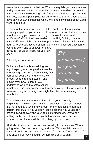seem like an expendable feature. When money lets you buy whatever and go wherever you want…temptations have more direct access to you. Suddenly, the external guards (people and times and places and finances) God had put in place for our childhood are removed, and we have only our own connection with Christ and convictions about God's word to guide us.

Think about your current spiritual state: Right now, if you could go basically anywhere you wanted, with whoever you wanted, and do just about anything you wanted, would you choose holiness and fruitfulness? Would the inner leading of the Holy Spirit guide your actions (Romans 8:14), or would opportunities call you to follow your heart wherever *it* leads (Jeremiah 17:9)? It's an essential question for

you to answer, and to answer honestly, because it could be reality for you very soon.

#### **2. Lifestyle pressures.**

While new freedom is something we might expect, most people don't see this one coming at all. See, if Christianity was part of our youth, we tend to think we already understand temptation, and maybe even how to fight it. We understand we need to battle sexual

*The temptations of our youth are only the beginning.*

temptation, and peer pressure to drink or smoke and things like that. If we're avoiding those things, we might feel like we're resisting temptation.

The problem is that the temptations of our youth are only the beginning. They're still around in your twenties, of course, but now they're joined by a whole new group—the temptations to pursue a certain kind of *life*. If you've been looking around, you've already noticed it's what everyone your age is starting to do. Everyone's getting on the superfast conveyor belt of chasing jobs, success, promotion, wealth, and all the other things people chase.

All kinds of new questions become pressing in our twenties: Who am I going to be? Do I pursue money, and how? What social class will I occupy? Will I be left behind in the rush for success? What kinds of jobs should I pursue? Should I compromise at all to gain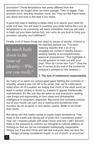promotion? These temptations feel pretty different than the temptations we fought when we were younger. They're bigger. They promise more, and they threaten more, too. They act like they'll leave you alone and poor in the dust if you resist.

A good first step in starting to battle them is to search your heart for pride and fear. You will need to examine your pride before the Lord, or temptations to *be somebody* will seem irresistible. And you will need to hash out your fears before him, too—who do you trust to bring you provision, security, and fulfillment?

Finally, a lot of these things boil down to issues of *identity*. A friend in

*So much boils down to the issue of identity*—*Who are you really?* his twenties pointed out, "I've been realizing recently that a lot of my struggles are rooted in identity issues seeking identity in accomplishments, approval, possessions." This highlights a crucial question to hash out with your God: *"How do I know who I am?"* (See the list of verses at the end of the booklet for scripture's answers to this question.)

#### **3. The lure of intellectual respectability.**

So many of us spent our school-aged years fighting the coolness of stupidity, where it was not OK to be smart, that we're a little blindsided when all of a sudden we realize that much of the adult world (at least in certain circles) is driven by a desire to appear intellectually sophisticated. It's like one day we wake up and everyone's reading new things and expounding on their ideas and philosophies. Intelligence is (surprise!) respected. Big words and concepts coming out of your mouth can earn you a hearing and sometimes even success. So far so good, in one sense I guess. Better to be smart than dumb.

But along with this reality comes a couple major temptations. First, there is the subtle and strong pull of pride: Am I considered smart? How can I impress people with what I know and how I talk? Second, there is the pressure to conform our thoughts to cultural patterns of thinking so that we can be considered intellectually respectable. Simply put, if we don't think and talk like everyone else, we face the danger of being considered stupid, or out of touch, or provincial, 1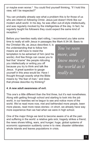or maybe even worse. <sup>2</sup> You could find yourself thinking, "If I hold this view, will I be respected?"

You can probably already see what a problem this is for those of us who are intent on following Christ. Jesus just doesn't think like our modern adult world. In his day, he was often out-of-style intellectually, and was regularly mocked by the intelligentsia of the day. In fact, he regularly taught his followers they could expect the same kind of reception. 3

Before your twenties really start rolling, I recommend you take some time to really sit with Jesus in passages like Mark 8:34-38. Basic to

the Christian life, as Jesus describes it, is the understanding that to follow him means we will have to resist the temptation to be ashamed of him (and his words). And few things can cause you to feel that "shame" like people ridiculing you intellectually or writing you off because you try to think and talk like Jesus. A great question to gauge yourself in this area would be: Have I thought through exactly what the Bible means by "the fear of man," and does that phrase describe my thinking?

*You've seen more, and know more, of the world as it really is.*

#### **4. A new adult awareness of evil.**

This one's a little different than the first three, but it's real nonetheless. Along with getting through school and starting to look into the job world, in our twenties we've begun to see and notice more of the world. We've read more now, met and befriended more people, been more places, read more news stories—in short, we already have way more experience than we had when we were in high school.

One of the major things we tend to become aware of is all the pain and suffering in the world: a relative gets sick; tragedy strikes a friend; the news shows killing, wars, and hunger; huge, global systems of economic oppression suddenly come in to view; disaster obliterates whole islands and leaves populations in crisis.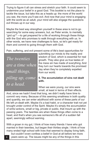Trying to figure it all can stress and stretch your faith. It could seem to undermine your belief in a good God. This booklet is not the place to tackle the issue, but take this as a heads up: the more of the world you see, the more you'll see evil. And now that your mind is engaging with the world as an adult, your mind will also engage the questions evil throws up in our way.

Maybe the best way strengthen yourself in these area is not to go searching for some easy answers, but, as Peter wrote, to mentally "gird up"<sup>4</sup> —to get prepared for a life of working through these things with the God who promises to walk through everything with us. In other words, we have new challenges to face, so let's get ready for them and commit to going through them *with* God.

Pain, suffering, and evil present some of life's best opportunities for

*The twenties are <sup>a</sup> time when small things, piling up, come to <sup>a</sup> head.*

submitting our minds to the reality and wisdom of God, which is essential for real growth. They also give us true tastes of the mess sin has made of everything. And they turn our hearts towards the promised day when they're completely expelled from our world.

#### **5. The accumulation of sins not dealt with.**

When we were young, our sins were small, at least in terms of their effects.

And, since we hadn't lived that long, we didn't really have time to commit very many. Because of this seeming smallness in both quality and quantity, we can enter adulthood with some of these parts of our life left un-dealt with. Maybe it's a bad habit, or a character trait not yet brought under control of the Spirit. Maybe it's simply the accumulation of sinful actions, small or big, private or public, that mount up with the passing years. The twenties are when these things often come to a head, and that's when you see someone's life all of a sudden fall apart, seemingly without warning.

With a groan in my gut, I think of how many friends I have who got married in their twenties, but began their thirties single. I think of how many ended high school with lives that seemed to display living faith,

but couldn't even confess a belief in God at all before ten more years were up. The issues might be any of the things in this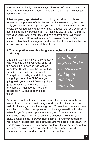booklet (and probably they're always a little mix of a few of them), but more often than not, if you look behind a spiritual melt-down you just see a pile of sins.

If that last paragraph started to sound judgmental to you, please remember the purpose of this discussion. If you're reading this, most likely you haven't ended up there yet, and the hope is that you never would. So, without judging anyone, may I suggest that you begin your post-college life by practicing a little Psalm 139:23-24 and 1 John 1:9 with your Lord? God is merciful, and he already knows everything about us anyway. He would much rather have us come to him, confess, allow him to change us, and grow, than to bring discipline on us and have consequences catch up to us.

#### **6. The temptation towards a long, slow neglect of basic spirituality.**

One time I was talking with a friend (who was wrapping up his twenties) about all the people he knew who had walked away from Christ before they were thirty. He said these basic and profound words: "You get out of college, and it's like, are you going to read the Bible? Are you going to do your devos? Are you going to go to church? It's time to do these things for yourself. It just seems like lots of people aren't willing to do the little things."

*A habit of neglect in the twenties can end up in spiritual starvation.*

I've never forgotten that conversation, mostly because what he said was so true. There are basic things we do as Christians which are part of cultivating spiritual life and growth. To say it another way, there are a few things God has appointed as the ways we will be in relation to him. <sup>5</sup> If you've grown up in the church, let's face it, these are the things you've been hearing about since childhood. Reading your Bible. Spending time in prayer. Being faithful in your connection to your church. It's not that these activities are magical, or necessary for God to give you stars on your paper, but these things are some of the fundamental ways in which we meet with Him, hear His word, commune with him, and receive the ministry of His Spirit.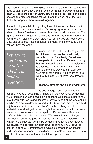We need the written word of God, and we need a steady diet of it. We need to stop, slow down, and sit with our Father in prayer to ask and hear. We need the body of Christ, actual people together in one place, pastors and elders teaching the word, and the working of the Spirit that only happens when we're all together.

If you develop a habit of neglecting those things in your twenties, it can end up in spiritual starvation. It's like trying to run a marathon when you haven't eaten for a week. Temptations will be stronger. The Spirit's voice will be quieter. Christians will feel strange. Wisdom will seem foreign. Living this way, slowly but surely, you can lose track of God, and of yourself. It's happened too many times for you to think you can beat the odds.

*Let downs can lead to cynicism, which can lead to isolation.*

The answer is to let the Lord lead you into faithfulness in the regular, small, daily aspects of your Christianity. Sometimes these parts of our spiritual life seem boring, but faithfulness in small things enables our faithfulness in the big moments. Think about it: the only way you can walk with God for all ten years of your twenties is to walk with him for 3650 days, one day at a time.

#### **7. Disappointments and discouragements.**

This one is huge—and it seems to be especially good at devouring Christians in their twenties. Sometimes we struggle in our faith because we attached all kinds of other things to our walk with Jesus and assumed they were part of the whole thing. Maybe it's a certain dream we had for life (marriage, maybe, or a kind of job, or a certain level of health). When these things don't materialize, or don't go like we thought they would, our faith can suffer because of how mixed-in to our spiritual life they were. Personal suffering falls in to this category too. We take a financial blow, or sickness or loss or tragedy hits our life, and we can be left wondering, "what's this all about?" Or maybe something negative goes down at our church. We develop cynicism towards our church. Or towards church in general. Sometimes the cynicism spreads to Christianity, and Christians in general. Once disappointments with church set in, a

hundred reasons not to go back leap up in our minds.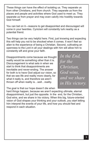These things can have the effect of isolating us. They separate us from other Christians, and from church. They separate us from the places and people and activities where God used to meet us. They separate us from prayer and may even calcify into hostility towards God himself.

You can bet on it—reasons to get disappointed and discouraged will come in your twenties. Cynicism will constantly lurk nearby as a potential friend.

Two things can be very helpful here. First, just knowing and expecting this will help you not to be shocked when it comes. It won't feel so alien to the experience of being a Christian. Second, cultivating an openness to the Lord in all your dealings with him will allow him to constantly sift and grow your faith.

Disappointments come because we thought reality would be something other than it is. Discouragement is what sets in when we start to think that disappointments are inevitable and never-ending. The answer for both is to have God adjust our vision, so that we see life and reality more clearly, for what it really is, and therefore we aren't thrown off when reality is…well…reality.

The goal is that our hope doesn't die when

*In the End, for the Christian, God wins, and we share in His victory.*

hard things happen, because we aren't expecting ultimate, eternal disappointment, but just the opposite. In the end, for the Christian, God wins, and we share in his victory. When this big, future-oriented vision of God shapes your thinking and your outlook, you start letting him interpret the events of your life, and how you should feel and respond in each situation.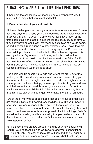### **PURSUING A SPIRITUAL LIFE THAT ENDURES**

If those are the challenges, what should be our response? May I suggest five things that you might find helpful?

#### **1. Be an adult about your spiritual life.**

All these challenges are coming your way for one basic reason: You're not a kid anymore. Maybe your childhood was great, but it's over. And that's OK. In fact, it's good! It's time to live life! But so much of the time people fail in the face of adult challenges because, quite simply, they don't have an adult faith. Maybe they got saved at a youth camp, or had a spiritual rush during a winter weekend, or still have their old *God Adventure* devotional they look to in trying times. But you can't meet adult problems with little-kid faith. The faith of an 8-year-old is exactly what an 8-year-old should have, and is tailored for the challenges an 8-year-old faces. It's the same with the faith of a 16 year old. But lots of us haven't grown too much since those formative youth group years—now we're toting our 16-year-old faith into our twenties, and it just won't be up to snuff.

God deals with us according to *who* and *where* we are. So, for the rest of your life, he's dealing with you as an adult. He's inviting you to find new depth, new strength, new wisdom, and new insights now that you're grown up. He's offering you new opportunities to grow and bear fruit that weren't at all possible when you were a child. It's not that you'll ever lose the "child-like faith" Jesus invites us to have, it's that that faith gets bigger and stronger now that it's the faith of an adult.

Two of the primary traits of adulthood that apply to our spiritual lives are taking initiative and owning responsibility. Just like you'll need to show initiative and responsibility to get and keep a job, or buy a house, or take out a loan, or get married (all adult activities!), there will need to be these same traits in your pursuit of spiritual things. So let's lay aside the passivity and buck-passing that permeates so much of the culture around us, and allow the Spirit to lead us into an active, lifelong pursuit of God.

For instance, there are two areas of maturity your new adult life will require: your relationship with God's word, and your connection to your church. The challenges of life will demand an adult ability to <sub>10</sub> search and understand scripture—to know what it really says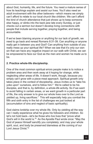about God, humanity, life, and the future. You need a mature sense of how its teachings explain and assist our lives. You'll also need an adult involvement with the other believers—which means we simply can't afford to relate to our local church like children. We can't afford the kind of church attendance that just shows up to keep someone else happy, or slinks into the back pew late every Sunday, or just checks out a sermon but doesn't develop living connections with people that include serving together, praying together, and being accountable.

If we've been blaming anyone or anything for our lack of growth, we need to go back and reread Romans 8:31-39. Can anything or anyone really get in between you and God? Can anything from outside of you really mess up your spiritual life? When we see that it's only our own sin that can have any negative impact on our walk with Christ, we can be empowered to face our God as the men and women he made us to be.

#### **2. Practice whole-life discipleship.**

One of the most common spiritual errors people make is to notice a problem area and then work away at it hoping for change, while neglecting other areas of life. It doesn't work, though, because you simply can't grow with a piece-meal approach. Spiritual growth only takes place in the context of discipleship. Jesus invites us to "take his yoke upon" ourselves, and to follow him. <sup>6</sup> We're called to be his disciples, and that is, by definition, a *whole-life* activity. So if we want to avoid falling in certain areas, or we want growth in a particular part of life, the only answer is to give our whole lives over to the Lord as yielded up, living sacrifices. $^7\,$  This will especially help you combat the fifth and sixth entry in the list of challenges we just looked at (accumulation of sins and neglect of basic spirituality).

God claims lordship over my whole life. Only by yielding all the way can I really experience what he gives his followers and children. So let's not hold back—let's be those who live lives that "prove what God's will in the world is." <sup>8</sup> As the Apostle Paul wrote once: "May the God of peace Himself sanctify you completely; and may your whole spirit, soul, and body be preserved blameless at the coming of our Lord Jesus Christ."9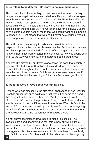#### **3. Be willing to be different. Be ready to be misunderstood.**

This sounds kind of elementary, but we live in a time when it is very dangerous to forget that we were called to a life which will set us apart from those around us who aren't following Christ. Peter himself wrote that we should expect people to think the way we live is just *odd*. 10 Jesus said worse—he said that if people hated him (and they did), we could expect them to hate us. <sup>11</sup> As Christians over the last 2000 years have pointed out, this doesn't mean that we should want or like people to oppose us. It just means that we should never be surprised when it does happen as a result of our normal Christian life.

This will come up especially in instances where intellectual respectability is on the line, as discussed earlier. But it will also involve the lifestyle pressures that led off our list of challenges, and a whole host of other things from entertainment choices, to how you spend your time, to the way you show love and mercy to people around you.

It seems like maybe 60 or 70 years ago it was the case that society in general reflected a lot of Christian ethics and virtues. This meant that a normal Christian might not have looked very different, on the surface, from the rest of the populace. But those days are over. In our day, if you seek to live out the teachings of the New Testament, you'll stick out.

#### **4. Trust the word of God above everything else.**

A friend who was discussing the first major challenges of her Twenties (lifestyle pressures) once said to me that when it all came to a head, the thought that finally saved her was, "Am I going to believe the word of God or not?" She had the promises of God in front of her, and she simply needed to decide if they were true or false. Was this God to be trusted? Could she, and more importantly, *would* she bank everything, *her whole life*, on whether or not he'd come through? In that moment, she decided she had no reason not to trust God's word.

It's not only those times that we need to make this choice. The Twenties are good at showing us that this is how our whole life is lived—in a moment by moment choice to believe what God says over every other voice. No matter what anything else says, sings, signposts or suggests, Christians take each step in life in *faith*—and specifically,

faith in what our God has said. So banish from your life anything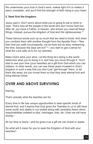the undermines your trust in God's word, makes light of it or makes it seem unrealistic, and you'll find the strength of faith rising in your heart.

#### **5. Seek first the kingdom.**

Jesus said it: Don't worry about what you're going to eat or drink or wear. That's how all the people in the world who don't know God live. After all, you have a Father, in heaven, who knows you need all these things. Instead, pursue the kingdom of God and His righteousness. 12

These famous words sum up so much that we need to know. And when you combine them with another thought from the Apostle Paul—"See then that you walk circumspectly, not as fools but as wise, redeeming the time, because the days are evil"13—you start to get a sense for what the Lord calls us to for our twenties.

Make God's aims your aims. Let the thing *he's* doing in the world determine what *you're* doing in it, and how you move through it. You'll start to see your time (your twenties) as a gift from God which you can redeem. In other words, you can see these years invested in God's kingdom in such a way that you don't just "get through" them, or let them slip away, but you invest them so that they bear eternal fruit and bring eternal riches.

## **OVER AND ABOVE SURVIVING**

Eternity.

That's actually what the twenties are for.

Every time in life has unique opportunities to bear specific kinds of eternal fruit, and it seems that God gives the Twenties to us to still have some youth and vitality in our bodies along with (possibly) fewer direct responsibilities (related to jobs, marriages, kids, etc.) than we will have shortly.<sup>14</sup>

All our time is God's—and he gives it as a gift we can invest or waste.

So what will it mean for you to seek the Kingdom of God with your twenties?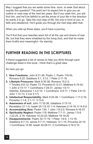May I suggest that you set aside some time, soon, to seek God about exactly this question? The point isn't to expect him to give you an outline or road map of the next ten years. But if you seek him, you will find him, and he'll be faithful to set the arrow of your life in the direction he wants it to go. Take the next step of life, the one in front of you, in faith and obedience. He'll guide you through the next step after that.

When you add up those steps, you'll have a journey.

You'll find that your twenties were full of all the ups and downs of real life, but that they were inhabited by the living God, and that he made them fruitful and meaningful—for eternity.

## **FURTHER READING IN THE SCRIPTURES**

A friend suggested a list of verses to help you think through each challenge listed in this book. I think that's a great idea.

So here you go:

- **1. New Freedoms:** John 8:31-36; Psalm 1; Psalm 119:45; Romans 6:22; Galatians 5:1, 5:13; 1 Peter 2:11-16
- **2: Lifestyle Pressures:** Mark 8:35-38; Romans 15:2-3; 1 Timothy 6:6-12; Psalm 73; Proverbs 8:12-21; Matthew 6:19-34; 1 John 2:15-17; 1 Corinthians 7:29-31; James 1:9-11 (Identity: Ephesians 1:3-2:10; 1 Corinthians 6:9-11; 1 Peter 2:9-10; John 1:12-13; 2 Cor 5:17)
- **3. Intellectual Respectability:** Mark 8:35-38; 1 Corinthians 1:17-2:16; Proverbs 1:1-9, 2:1-11, 3:13-8
- **4. Awareness of evil:** John 11:32-36; Galatians 3:13-14; Revelation 21:1-5; Isaiah 25:1-9, 61:1-4; Hebrews 2:14-18, 4:14-5:9
- **5. Accumulating Sins:** Psalm 139, 1 John 1:8-2:2; Romans 6:16-23
- **6. Spirituality Neglect:** Psalm 119; Matthew 7:7-11; James 1:5-8, 1:22-25, 2:18; Hebrews 10:23-25; Matthew 18:19-20
- **7. Disappointments:** Psalm 34:17-19; 1 Peter 1:6-9, 1:13-16; Galatians 6:7-10, James 5:7-11; Hebrews 12:1-15; Proverbs 24:10; 1 Corinthians 15:58; Isaiah 40:28-31; 2 Corinthians 4:16-5:10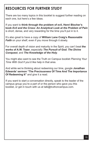## **RESOURCES FOR FURTHER STUDY**

There are too many topics in this booklet to suggest further reading on each one, but here's a few ideas.

If you want to **think through the problem of evil, Henri Blocher's book** *Evil and the Cross: An Analytical Look at the Problem of Pain* is short, dense, and very rewarding for the time you'll put in to it.

It's also great to have a copy of **William Lane Craig's** *Reasonable Faith* on your shelf, even if you move through it slowly.

For overall depth of vision and maturity in the Spirit, you can't beat **the works of A.W. Tozer**, especially *The Pursuit of God*, *The Divine Conquest*, and *The Knowledge of the Holy*.

You might also want to see the Truth on Campus booklet *Planning Your Time With God* if you'd like help in that area.

And while we're thinking about redeeming our time, google **Jonathan Edwards' sermon "The Preciousness Of Time And The Importance Of Redeeming It"** and give it a read.

If you want to start a conversation directly, speak to the leader of the campus group you're a part of or the person who gave you this booklet, or get in touch with us at talk@truthoncampus.com.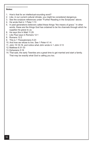#### **Notes:**

- 1. How's that for an intellectual-sounding word?
- 2. Like, in our current cultural climate, you might be considered dangerous.
- 3. See the scripture references under "Further Reading in the Scriptures" above.
- 4. He wrote that in 1 Peter 1:13
- 5. In past generations believers called these things "the means of grace." In other words, these are the things God has ordained to be his channels through which he supplies his grace to us.
- 6. He says this in Matt 11:29
- 7. Like Paul says in Romans 12:1
- 8. Romans 12:2
- 9. This is 1 Thessalonians 5:23
- 10. And how we refuse to live. See 1 Peter 4:1-4.
- 11. John 15:18-19, and notice what John wrote in 1 John 3:13
- 12. Matthew 6:31-33
- 13. Ephesians 5:16
- 14. That said, the early Twenties are a great time to get married and start a family. That may be exactly what God is calling you too.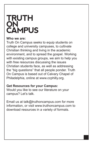## **TRUTH ON CAMPUS**

#### **Who we are:**

Truth On Campus seeks to equip students on college and university campuses, to cultivate Christian thinking and living in the academic environment, and to spread the gospel. Working with existing campus groups, we aim to help you with free resources discussing the issues Christian students face, as well as addressing the "big questions" that all people ponder. Truth On Campus is based out of Calvary Chapel of Philadelphia, online at www.ccphilly.org.

#### **Get Resources for your Campus:**

Would you like to see our literature on your campus? Let's talk.

Email us at talk@truthoncampus.com for more information, or visit www.truthoncampus.com to download resources in a variety of formats.